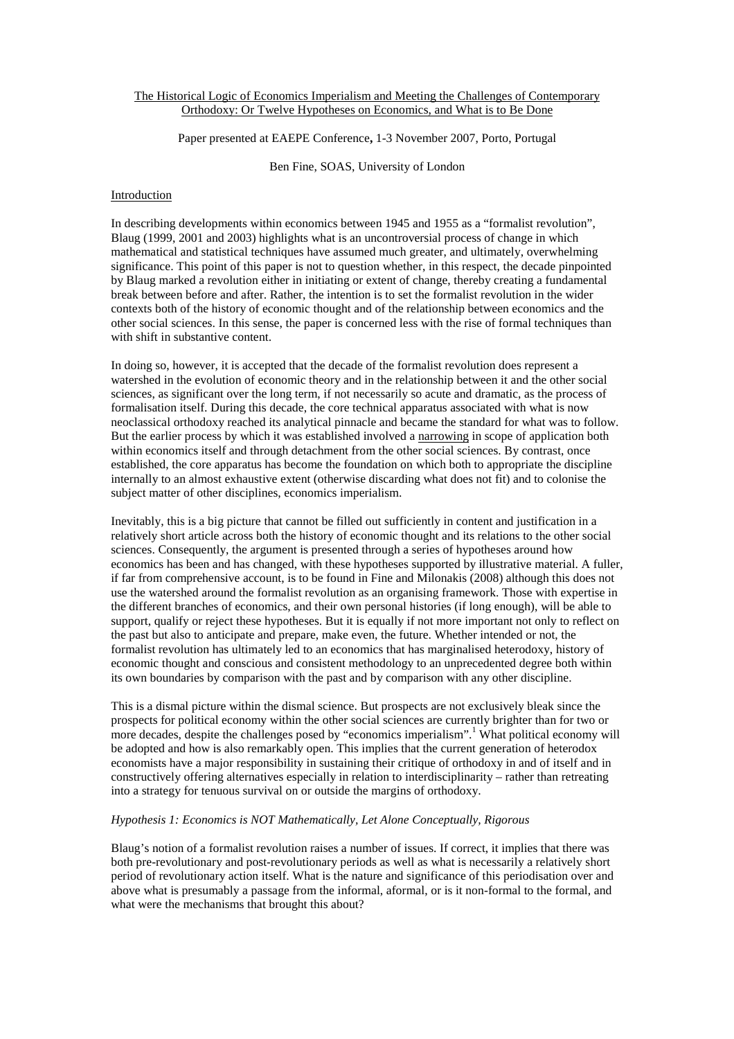#### The Historical Logic of Economics Imperialism and Meeting the Challenges of Contemporary Orthodoxy: Or Twelve Hypotheses on Economics, and What is to Be Done

Paper presented at EAEPE Conference**,** 1-3 November 2007, Porto, Portugal

Ben Fine, SOAS, University of London

## Introduction

In describing developments within economics between 1945 and 1955 as a "formalist revolution", Blaug (1999, 2001 and 2003) highlights what is an uncontroversial process of change in which mathematical and statistical techniques have assumed much greater, and ultimately, overwhelming significance. This point of this paper is not to question whether, in this respect, the decade pinpointed by Blaug marked a revolution either in initiating or extent of change, thereby creating a fundamental break between before and after. Rather, the intention is to set the formalist revolution in the wider contexts both of the history of economic thought and of the relationship between economics and the other social sciences. In this sense, the paper is concerned less with the rise of formal techniques than with shift in substantive content.

In doing so, however, it is accepted that the decade of the formalist revolution does represent a watershed in the evolution of economic theory and in the relationship between it and the other social sciences, as significant over the long term, if not necessarily so acute and dramatic, as the process of formalisation itself. During this decade, the core technical apparatus associated with what is now neoclassical orthodoxy reached its analytical pinnacle and became the standard for what was to follow. But the earlier process by which it was established involved a narrowing in scope of application both within economics itself and through detachment from the other social sciences. By contrast, once established, the core apparatus has become the foundation on which both to appropriate the discipline internally to an almost exhaustive extent (otherwise discarding what does not fit) and to colonise the subject matter of other disciplines, economics imperialism.

Inevitably, this is a big picture that cannot be filled out sufficiently in content and justification in a relatively short article across both the history of economic thought and its relations to the other social sciences. Consequently, the argument is presented through a series of hypotheses around how economics has been and has changed, with these hypotheses supported by illustrative material. A fuller, if far from comprehensive account, is to be found in Fine and Milonakis (2008) although this does not use the watershed around the formalist revolution as an organising framework. Those with expertise in the different branches of economics, and their own personal histories (if long enough), will be able to support, qualify or reject these hypotheses. But it is equally if not more important not only to reflect on the past but also to anticipate and prepare, make even, the future. Whether intended or not, the formalist revolution has ultimately led to an economics that has marginalised heterodoxy, history of economic thought and conscious and consistent methodology to an unprecedented degree both within its own boundaries by comparison with the past and by comparison with any other discipline.

This is a dismal picture within the dismal science. But prospects are not exclusively bleak since the prospects for political economy within the other social sciences are currently brighter than for two or more decades, despite the challenges posed by "economics imperialism".<sup>1</sup> What political economy will be adopted and how is also remarkably open. This implies that the current generation of heterodox economists have a major responsibility in sustaining their critique of orthodoxy in and of itself and in constructively offering alternatives especially in relation to interdisciplinarity – rather than retreating into a strategy for tenuous survival on or outside the margins of orthodoxy.

## *Hypothesis 1: Economics is NOT Mathematically, Let Alone Conceptually, Rigorous*

Blaug's notion of a formalist revolution raises a number of issues. If correct, it implies that there was both pre-revolutionary and post-revolutionary periods as well as what is necessarily a relatively short period of revolutionary action itself. What is the nature and significance of this periodisation over and above what is presumably a passage from the informal, aformal, or is it non-formal to the formal, and what were the mechanisms that brought this about?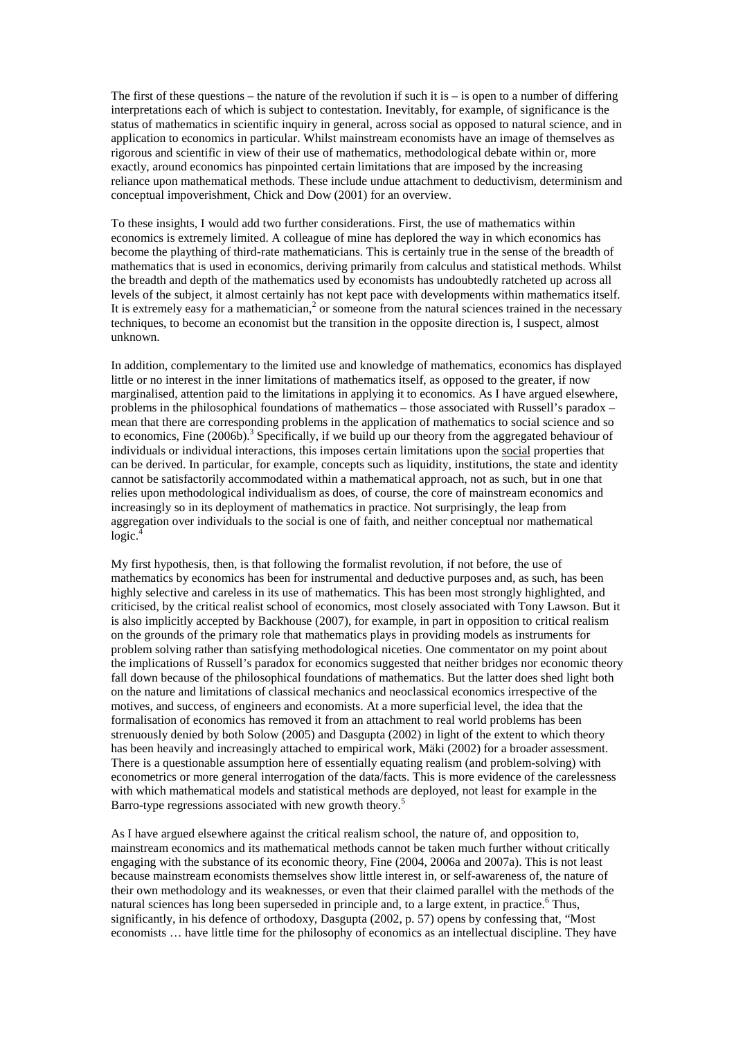The first of these questions – the nature of the revolution if such it is – is open to a number of differing interpretations each of which is subject to contestation. Inevitably, for example, of significance is the status of mathematics in scientific inquiry in general, across social as opposed to natural science, and in application to economics in particular. Whilst mainstream economists have an image of themselves as rigorous and scientific in view of their use of mathematics, methodological debate within or, more exactly, around economics has pinpointed certain limitations that are imposed by the increasing reliance upon mathematical methods. These include undue attachment to deductivism, determinism and conceptual impoverishment, Chick and Dow (2001) for an overview.

To these insights, I would add two further considerations. First, the use of mathematics within economics is extremely limited. A colleague of mine has deplored the way in which economics has become the plaything of third-rate mathematicians. This is certainly true in the sense of the breadth of mathematics that is used in economics, deriving primarily from calculus and statistical methods. Whilst the breadth and depth of the mathematics used by economists has undoubtedly ratcheted up across all levels of the subject, it almost certainly has not kept pace with developments within mathematics itself. It is extremely easy for a mathematician,<sup>2</sup> or someone from the natural sciences trained in the necessary techniques, to become an economist but the transition in the opposite direction is, I suspect, almost unknown.

In addition, complementary to the limited use and knowledge of mathematics, economics has displayed little or no interest in the inner limitations of mathematics itself, as opposed to the greater, if now marginalised, attention paid to the limitations in applying it to economics. As I have argued elsewhere, problems in the philosophical foundations of mathematics – those associated with Russell's paradox – mean that there are corresponding problems in the application of mathematics to social science and so to economics, Fine  $(2006\dot{b})$ .<sup>3</sup> Specifically, if we build up our theory from the aggregated behaviour of individuals or individual interactions, this imposes certain limitations upon the social properties that can be derived. In particular, for example, concepts such as liquidity, institutions, the state and identity cannot be satisfactorily accommodated within a mathematical approach, not as such, but in one that relies upon methodological individualism as does, of course, the core of mainstream economics and increasingly so in its deployment of mathematics in practice. Not surprisingly, the leap from aggregation over individuals to the social is one of faith, and neither conceptual nor mathematical logic.

My first hypothesis, then, is that following the formalist revolution, if not before, the use of mathematics by economics has been for instrumental and deductive purposes and, as such, has been highly selective and careless in its use of mathematics. This has been most strongly highlighted, and criticised, by the critical realist school of economics, most closely associated with Tony Lawson. But it is also implicitly accepted by Backhouse (2007), for example, in part in opposition to critical realism on the grounds of the primary role that mathematics plays in providing models as instruments for problem solving rather than satisfying methodological niceties. One commentator on my point about the implications of Russell's paradox for economics suggested that neither bridges nor economic theory fall down because of the philosophical foundations of mathematics. But the latter does shed light both on the nature and limitations of classical mechanics and neoclassical economics irrespective of the motives, and success, of engineers and economists. At a more superficial level, the idea that the formalisation of economics has removed it from an attachment to real world problems has been strenuously denied by both Solow (2005) and Dasgupta (2002) in light of the extent to which theory has been heavily and increasingly attached to empirical work, Mäki (2002) for a broader assessment. There is a questionable assumption here of essentially equating realism (and problem-solving) with econometrics or more general interrogation of the data/facts. This is more evidence of the carelessness with which mathematical models and statistical methods are deployed, not least for example in the Barro-type regressions associated with new growth theory.<sup>5</sup>

As I have argued elsewhere against the critical realism school, the nature of, and opposition to, mainstream economics and its mathematical methods cannot be taken much further without critically engaging with the substance of its economic theory, Fine (2004, 2006a and 2007a). This is not least because mainstream economists themselves show little interest in, or self-awareness of, the nature of their own methodology and its weaknesses, or even that their claimed parallel with the methods of the natural sciences has long been superseded in principle and, to a large extent, in practice.<sup>6</sup> Thus, significantly, in his defence of orthodoxy, Dasgupta (2002, p. 57) opens by confessing that, "Most economists … have little time for the philosophy of economics as an intellectual discipline. They have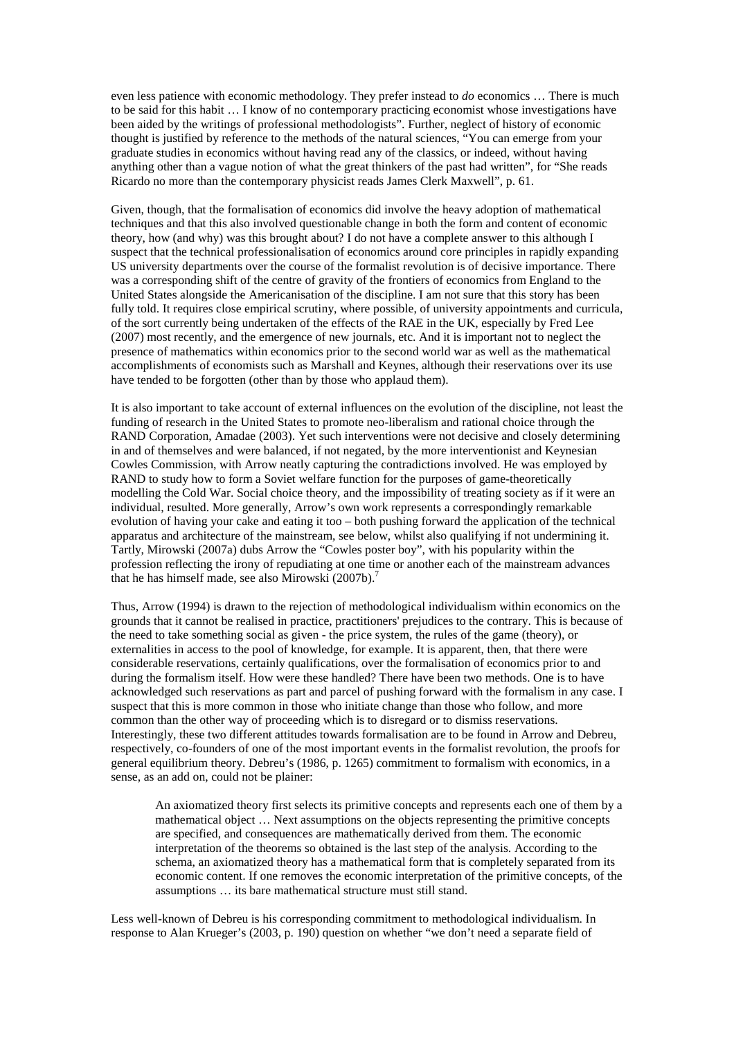even less patience with economic methodology. They prefer instead to *do* economics … There is much to be said for this habit … I know of no contemporary practicing economist whose investigations have been aided by the writings of professional methodologists". Further, neglect of history of economic thought is justified by reference to the methods of the natural sciences, "You can emerge from your graduate studies in economics without having read any of the classics, or indeed, without having anything other than a vague notion of what the great thinkers of the past had written", for "She reads Ricardo no more than the contemporary physicist reads James Clerk Maxwell", p. 61.

Given, though, that the formalisation of economics did involve the heavy adoption of mathematical techniques and that this also involved questionable change in both the form and content of economic theory, how (and why) was this brought about? I do not have a complete answer to this although I suspect that the technical professionalisation of economics around core principles in rapidly expanding US university departments over the course of the formalist revolution is of decisive importance. There was a corresponding shift of the centre of gravity of the frontiers of economics from England to the United States alongside the Americanisation of the discipline. I am not sure that this story has been fully told. It requires close empirical scrutiny, where possible, of university appointments and curricula, of the sort currently being undertaken of the effects of the RAE in the UK, especially by Fred Lee (2007) most recently, and the emergence of new journals, etc. And it is important not to neglect the presence of mathematics within economics prior to the second world war as well as the mathematical accomplishments of economists such as Marshall and Keynes, although their reservations over its use have tended to be forgotten (other than by those who applaud them).

It is also important to take account of external influences on the evolution of the discipline, not least the funding of research in the United States to promote neo-liberalism and rational choice through the RAND Corporation, Amadae (2003). Yet such interventions were not decisive and closely determining in and of themselves and were balanced, if not negated, by the more interventionist and Keynesian Cowles Commission, with Arrow neatly capturing the contradictions involved. He was employed by RAND to study how to form a Soviet welfare function for the purposes of game-theoretically modelling the Cold War. Social choice theory, and the impossibility of treating society as if it were an individual, resulted. More generally, Arrow's own work represents a correspondingly remarkable evolution of having your cake and eating it too – both pushing forward the application of the technical apparatus and architecture of the mainstream, see below, whilst also qualifying if not undermining it. Tartly, Mirowski (2007a) dubs Arrow the "Cowles poster boy", with his popularity within the profession reflecting the irony of repudiating at one time or another each of the mainstream advances that he has himself made, see also Mirowski (2007b). 7

Thus, Arrow (1994) is drawn to the rejection of methodological individualism within economics on the grounds that it cannot be realised in practice, practitioners' prejudices to the contrary. This is because of the need to take something social as given - the price system, the rules of the game (theory), or externalities in access to the pool of knowledge, for example. It is apparent, then, that there were considerable reservations, certainly qualifications, over the formalisation of economics prior to and during the formalism itself. How were these handled? There have been two methods. One is to have acknowledged such reservations as part and parcel of pushing forward with the formalism in any case. I suspect that this is more common in those who initiate change than those who follow, and more common than the other way of proceeding which is to disregard or to dismiss reservations. Interestingly, these two different attitudes towards formalisation are to be found in Arrow and Debreu, respectively, co-founders of one of the most important events in the formalist revolution, the proofs for general equilibrium theory. Debreu's (1986, p. 1265) commitment to formalism with economics, in a sense, as an add on, could not be plainer:

An axiomatized theory first selects its primitive concepts and represents each one of them by a mathematical object … Next assumptions on the objects representing the primitive concepts are specified, and consequences are mathematically derived from them. The economic interpretation of the theorems so obtained is the last step of the analysis. According to the schema, an axiomatized theory has a mathematical form that is completely separated from its economic content. If one removes the economic interpretation of the primitive concepts, of the assumptions … its bare mathematical structure must still stand.

Less well-known of Debreu is his corresponding commitment to methodological individualism. In response to Alan Krueger's (2003, p. 190) question on whether "we don't need a separate field of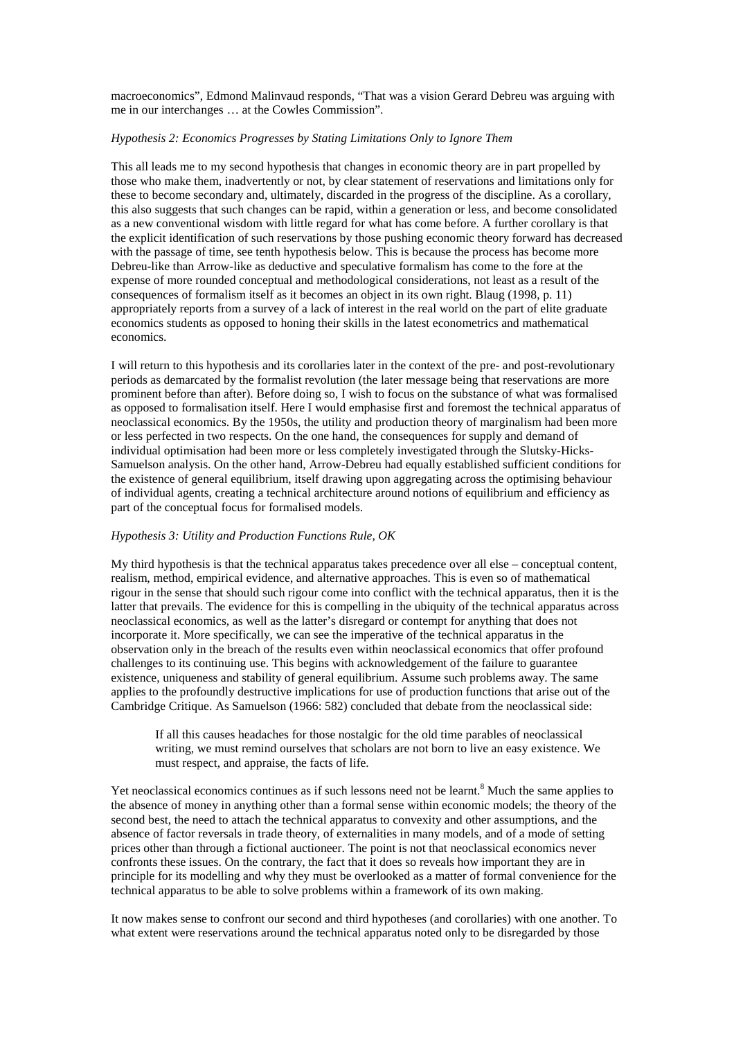macroeconomics", Edmond Malinvaud responds, "That was a vision Gerard Debreu was arguing with me in our interchanges … at the Cowles Commission".

#### *Hypothesis 2: Economics Progresses by Stating Limitations Only to Ignore Them*

This all leads me to my second hypothesis that changes in economic theory are in part propelled by those who make them, inadvertently or not, by clear statement of reservations and limitations only for these to become secondary and, ultimately, discarded in the progress of the discipline. As a corollary, this also suggests that such changes can be rapid, within a generation or less, and become consolidated as a new conventional wisdom with little regard for what has come before. A further corollary is that the explicit identification of such reservations by those pushing economic theory forward has decreased with the passage of time, see tenth hypothesis below. This is because the process has become more Debreu-like than Arrow-like as deductive and speculative formalism has come to the fore at the expense of more rounded conceptual and methodological considerations, not least as a result of the consequences of formalism itself as it becomes an object in its own right. Blaug (1998, p. 11) appropriately reports from a survey of a lack of interest in the real world on the part of elite graduate economics students as opposed to honing their skills in the latest econometrics and mathematical economics.

I will return to this hypothesis and its corollaries later in the context of the pre- and post-revolutionary periods as demarcated by the formalist revolution (the later message being that reservations are more prominent before than after). Before doing so, I wish to focus on the substance of what was formalised as opposed to formalisation itself. Here I would emphasise first and foremost the technical apparatus of neoclassical economics. By the 1950s, the utility and production theory of marginalism had been more or less perfected in two respects. On the one hand, the consequences for supply and demand of individual optimisation had been more or less completely investigated through the Slutsky-Hicks-Samuelson analysis. On the other hand, Arrow-Debreu had equally established sufficient conditions for the existence of general equilibrium, itself drawing upon aggregating across the optimising behaviour of individual agents, creating a technical architecture around notions of equilibrium and efficiency as part of the conceptual focus for formalised models.

## *Hypothesis 3: Utility and Production Functions Rule, OK*

My third hypothesis is that the technical apparatus takes precedence over all else – conceptual content, realism, method, empirical evidence, and alternative approaches. This is even so of mathematical rigour in the sense that should such rigour come into conflict with the technical apparatus, then it is the latter that prevails. The evidence for this is compelling in the ubiquity of the technical apparatus across neoclassical economics, as well as the latter's disregard or contempt for anything that does not incorporate it. More specifically, we can see the imperative of the technical apparatus in the observation only in the breach of the results even within neoclassical economics that offer profound challenges to its continuing use. This begins with acknowledgement of the failure to guarantee existence, uniqueness and stability of general equilibrium. Assume such problems away. The same applies to the profoundly destructive implications for use of production functions that arise out of the Cambridge Critique. As Samuelson (1966: 582) concluded that debate from the neoclassical side:

If all this causes headaches for those nostalgic for the old time parables of neoclassical writing, we must remind ourselves that scholars are not born to live an easy existence. We must respect, and appraise, the facts of life.

Yet neoclassical economics continues as if such lessons need not be learnt.<sup>8</sup> Much the same applies to the absence of money in anything other than a formal sense within economic models; the theory of the second best, the need to attach the technical apparatus to convexity and other assumptions, and the absence of factor reversals in trade theory, of externalities in many models, and of a mode of setting prices other than through a fictional auctioneer. The point is not that neoclassical economics never confronts these issues. On the contrary, the fact that it does so reveals how important they are in principle for its modelling and why they must be overlooked as a matter of formal convenience for the technical apparatus to be able to solve problems within a framework of its own making.

It now makes sense to confront our second and third hypotheses (and corollaries) with one another. To what extent were reservations around the technical apparatus noted only to be disregarded by those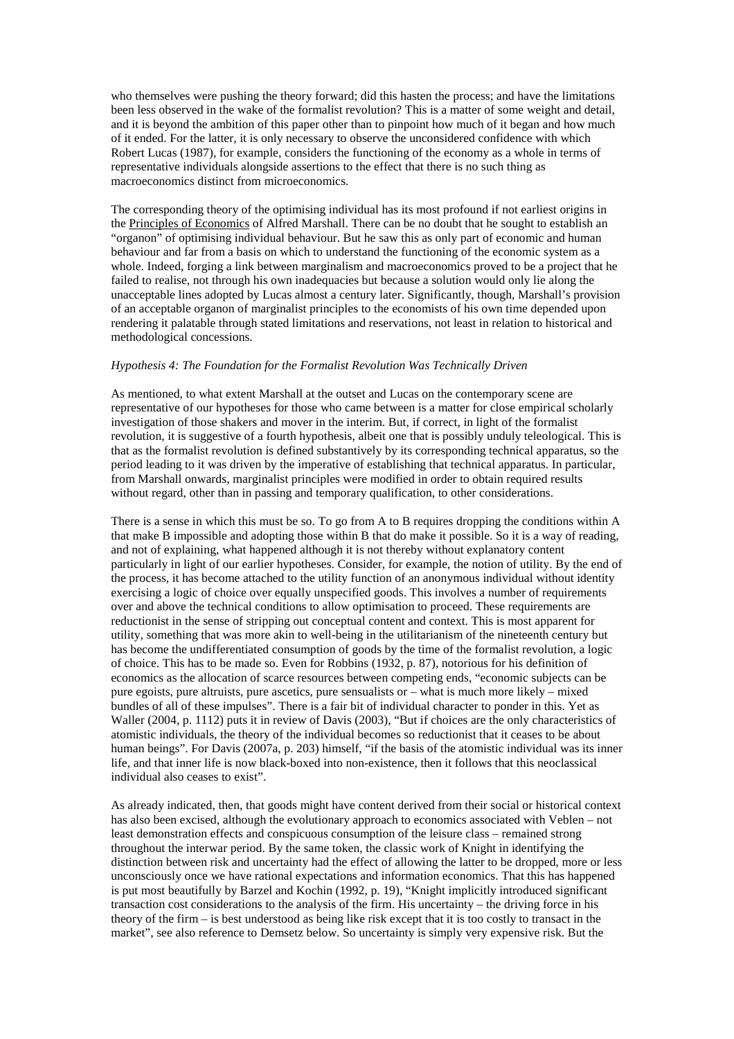who themselves were pushing the theory forward; did this hasten the process; and have the limitations been less observed in the wake of the formalist revolution? This is a matter of some weight and detail, and it is beyond the ambition of this paper other than to pinpoint how much of it began and how much of it ended. For the latter, it is only necessary to observe the unconsidered confidence with which Robert Lucas (1987), for example, considers the functioning of the economy as a whole in terms of representative individuals alongside assertions to the effect that there is no such thing as macroeconomics distinct from microeconomics.

The corresponding theory of the optimising individual has its most profound if not earliest origins in the Principles of Economics of Alfred Marshall. There can be no doubt that he sought to establish an "organon" of optimising individual behaviour. But he saw this as only part of economic and human behaviour and far from a basis on which to understand the functioning of the economic system as a whole. Indeed, forging a link between marginalism and macroeconomics proved to be a project that he failed to realise, not through his own inadequacies but because a solution would only lie along the unacceptable lines adopted by Lucas almost a century later. Significantly, though, Marshall's provision of an acceptable organon of marginalist principles to the economists of his own time depended upon rendering it palatable through stated limitations and reservations, not least in relation to historical and methodological concessions.

## *Hypothesis 4: The Foundation for the Formalist Revolution Was Technically Driven*

As mentioned, to what extent Marshall at the outset and Lucas on the contemporary scene are representative of our hypotheses for those who came between is a matter for close empirical scholarly investigation of those shakers and mover in the interim. But, if correct, in light of the formalist revolution, it is suggestive of a fourth hypothesis, albeit one that is possibly unduly teleological. This is that as the formalist revolution is defined substantively by its corresponding technical apparatus, so the period leading to it was driven by the imperative of establishing that technical apparatus. In particular, from Marshall onwards, marginalist principles were modified in order to obtain required results without regard, other than in passing and temporary qualification, to other considerations.

There is a sense in which this must be so. To go from A to B requires dropping the conditions within A that make B impossible and adopting those within B that do make it possible. So it is a way of reading, and not of explaining, what happened although it is not thereby without explanatory content particularly in light of our earlier hypotheses. Consider, for example, the notion of utility. By the end of the process, it has become attached to the utility function of an anonymous individual without identity exercising a logic of choice over equally unspecified goods. This involves a number of requirements over and above the technical conditions to allow optimisation to proceed. These requirements are reductionist in the sense of stripping out conceptual content and context. This is most apparent for utility, something that was more akin to well-being in the utilitarianism of the nineteenth century but has become the undifferentiated consumption of goods by the time of the formalist revolution, a logic of choice. This has to be made so. Even for Robbins (1932, p. 87), notorious for his definition of economics as the allocation of scarce resources between competing ends, "economic subjects can be pure egoists, pure altruists, pure ascetics, pure sensualists or – what is much more likely – mixed bundles of all of these impulses". There is a fair bit of individual character to ponder in this. Yet as Waller (2004, p. 1112) puts it in review of Davis (2003), "But if choices are the only characteristics of atomistic individuals, the theory of the individual becomes so reductionist that it ceases to be about human beings". For Davis (2007a, p. 203) himself, "if the basis of the atomistic individual was its inner life, and that inner life is now black-boxed into non-existence, then it follows that this neoclassical individual also ceases to exist".

As already indicated, then, that goods might have content derived from their social or historical context has also been excised, although the evolutionary approach to economics associated with Veblen – not least demonstration effects and conspicuous consumption of the leisure class – remained strong throughout the interwar period. By the same token, the classic work of Knight in identifying the distinction between risk and uncertainty had the effect of allowing the latter to be dropped, more or less unconsciously once we have rational expectations and information economics. That this has happened is put most beautifully by Barzel and Kochin (1992, p. 19), "Knight implicitly introduced significant transaction cost considerations to the analysis of the firm. His uncertainty – the driving force in his theory of the firm – is best understood as being like risk except that it is too costly to transact in the market", see also reference to Demsetz below. So uncertainty is simply very expensive risk. But the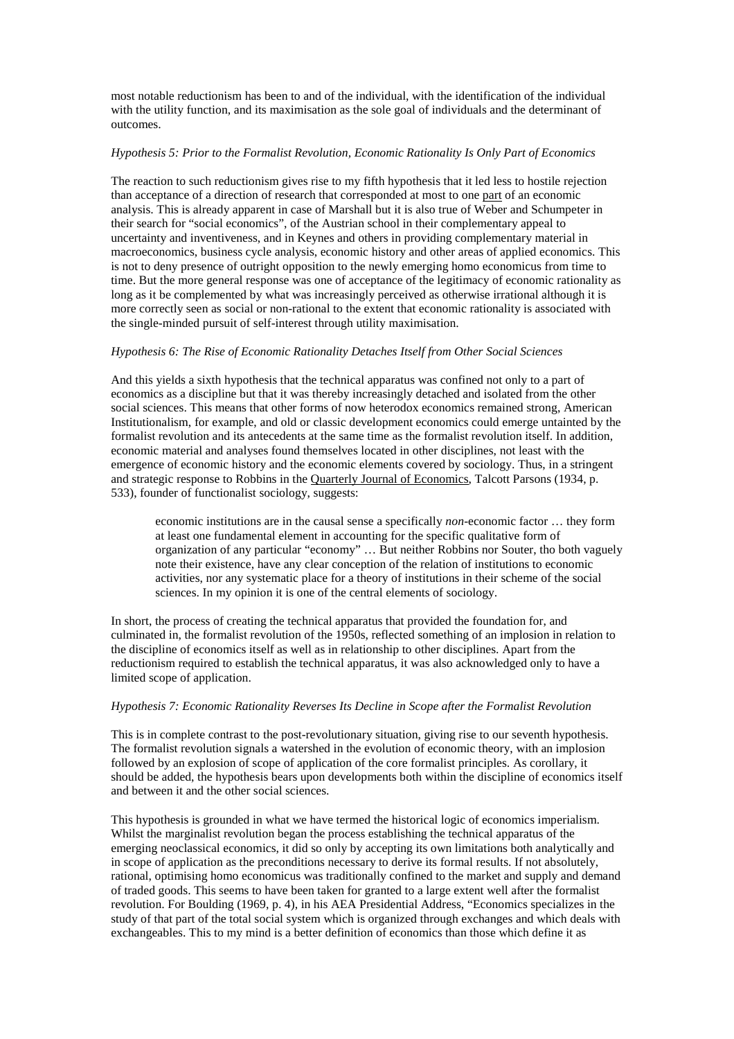most notable reductionism has been to and of the individual, with the identification of the individual with the utility function, and its maximisation as the sole goal of individuals and the determinant of outcomes.

#### *Hypothesis 5: Prior to the Formalist Revolution, Economic Rationality Is Only Part of Economics*

The reaction to such reductionism gives rise to my fifth hypothesis that it led less to hostile rejection than acceptance of a direction of research that corresponded at most to one part of an economic analysis. This is already apparent in case of Marshall but it is also true of Weber and Schumpeter in their search for "social economics", of the Austrian school in their complementary appeal to uncertainty and inventiveness, and in Keynes and others in providing complementary material in macroeconomics, business cycle analysis, economic history and other areas of applied economics. This is not to deny presence of outright opposition to the newly emerging homo economicus from time to time. But the more general response was one of acceptance of the legitimacy of economic rationality as long as it be complemented by what was increasingly perceived as otherwise irrational although it is more correctly seen as social or non-rational to the extent that economic rationality is associated with the single-minded pursuit of self-interest through utility maximisation.

## *Hypothesis 6: The Rise of Economic Rationality Detaches Itself from Other Social Sciences*

And this yields a sixth hypothesis that the technical apparatus was confined not only to a part of economics as a discipline but that it was thereby increasingly detached and isolated from the other social sciences. This means that other forms of now heterodox economics remained strong, American Institutionalism, for example, and old or classic development economics could emerge untainted by the formalist revolution and its antecedents at the same time as the formalist revolution itself. In addition, economic material and analyses found themselves located in other disciplines, not least with the emergence of economic history and the economic elements covered by sociology. Thus, in a stringent and strategic response to Robbins in the Quarterly Journal of Economics, Talcott Parsons (1934, p. 533), founder of functionalist sociology, suggests:

economic institutions are in the causal sense a specifically *non*-economic factor … they form at least one fundamental element in accounting for the specific qualitative form of organization of any particular "economy" … But neither Robbins nor Souter, tho both vaguely note their existence, have any clear conception of the relation of institutions to economic activities, nor any systematic place for a theory of institutions in their scheme of the social sciences. In my opinion it is one of the central elements of sociology.

In short, the process of creating the technical apparatus that provided the foundation for, and culminated in, the formalist revolution of the 1950s, reflected something of an implosion in relation to the discipline of economics itself as well as in relationship to other disciplines. Apart from the reductionism required to establish the technical apparatus, it was also acknowledged only to have a limited scope of application.

#### *Hypothesis 7: Economic Rationality Reverses Its Decline in Scope after the Formalist Revolution*

This is in complete contrast to the post-revolutionary situation, giving rise to our seventh hypothesis. The formalist revolution signals a watershed in the evolution of economic theory, with an implosion followed by an explosion of scope of application of the core formalist principles. As corollary, it should be added, the hypothesis bears upon developments both within the discipline of economics itself and between it and the other social sciences.

This hypothesis is grounded in what we have termed the historical logic of economics imperialism. Whilst the marginalist revolution began the process establishing the technical apparatus of the emerging neoclassical economics, it did so only by accepting its own limitations both analytically and in scope of application as the preconditions necessary to derive its formal results. If not absolutely, rational, optimising homo economicus was traditionally confined to the market and supply and demand of traded goods. This seems to have been taken for granted to a large extent well after the formalist revolution. For Boulding (1969, p. 4), in his AEA Presidential Address, "Economics specializes in the study of that part of the total social system which is organized through exchanges and which deals with exchangeables. This to my mind is a better definition of economics than those which define it as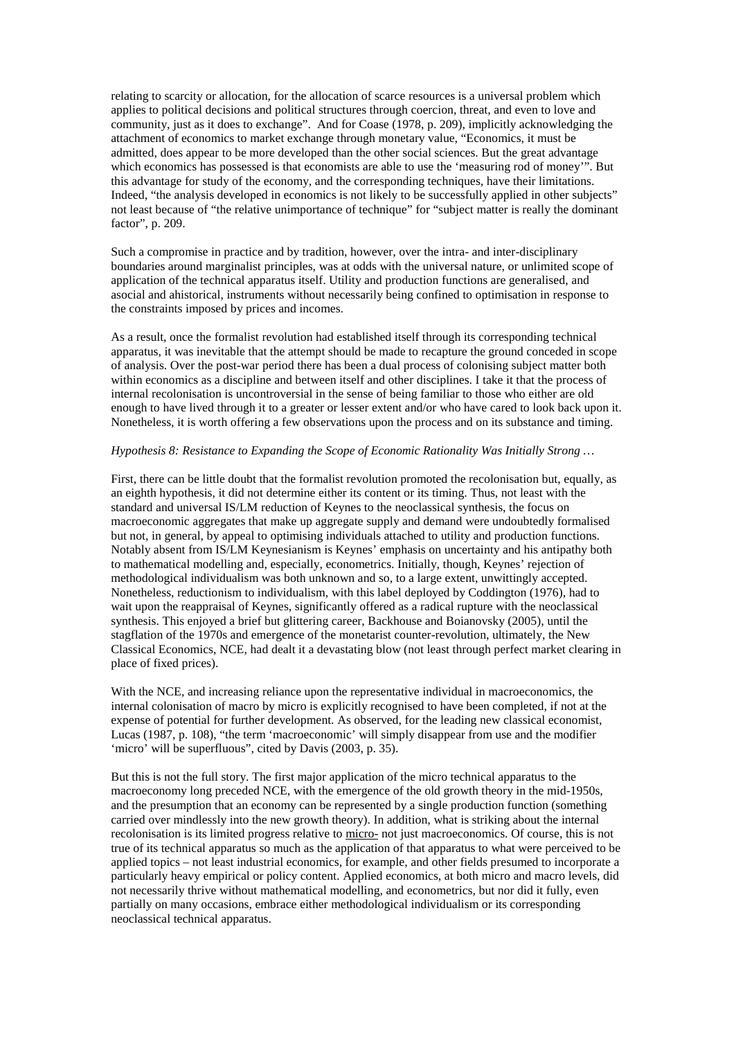relating to scarcity or allocation, for the allocation of scarce resources is a universal problem which applies to political decisions and political structures through coercion, threat, and even to love and community, just as it does to exchange". And for Coase (1978, p. 209), implicitly acknowledging the attachment of economics to market exchange through monetary value, "Economics, it must be admitted, does appear to be more developed than the other social sciences. But the great advantage which economics has possessed is that economists are able to use the 'measuring rod of money'". But this advantage for study of the economy, and the corresponding techniques, have their limitations. Indeed, "the analysis developed in economics is not likely to be successfully applied in other subjects" not least because of "the relative unimportance of technique" for "subject matter is really the dominant factor", p. 209.

Such a compromise in practice and by tradition, however, over the intra- and inter-disciplinary boundaries around marginalist principles, was at odds with the universal nature, or unlimited scope of application of the technical apparatus itself. Utility and production functions are generalised, and asocial and ahistorical, instruments without necessarily being confined to optimisation in response to the constraints imposed by prices and incomes.

As a result, once the formalist revolution had established itself through its corresponding technical apparatus, it was inevitable that the attempt should be made to recapture the ground conceded in scope of analysis. Over the post-war period there has been a dual process of colonising subject matter both within economics as a discipline and between itself and other disciplines. I take it that the process of internal recolonisation is uncontroversial in the sense of being familiar to those who either are old enough to have lived through it to a greater or lesser extent and/or who have cared to look back upon it. Nonetheless, it is worth offering a few observations upon the process and on its substance and timing.

## *Hypothesis 8: Resistance to Expanding the Scope of Economic Rationality Was Initially Strong …*

First, there can be little doubt that the formalist revolution promoted the recolonisation but, equally, as an eighth hypothesis, it did not determine either its content or its timing. Thus, not least with the standard and universal IS/LM reduction of Keynes to the neoclassical synthesis, the focus on macroeconomic aggregates that make up aggregate supply and demand were undoubtedly formalised but not, in general, by appeal to optimising individuals attached to utility and production functions. Notably absent from IS/LM Keynesianism is Keynes' emphasis on uncertainty and his antipathy both to mathematical modelling and, especially, econometrics. Initially, though, Keynes' rejection of methodological individualism was both unknown and so, to a large extent, unwittingly accepted. Nonetheless, reductionism to individualism, with this label deployed by Coddington (1976), had to wait upon the reappraisal of Keynes, significantly offered as a radical rupture with the neoclassical synthesis. This enjoyed a brief but glittering career, Backhouse and Boianovsky (2005), until the stagflation of the 1970s and emergence of the monetarist counter-revolution, ultimately, the New Classical Economics, NCE, had dealt it a devastating blow (not least through perfect market clearing in place of fixed prices).

With the NCE, and increasing reliance upon the representative individual in macroeconomics, the internal colonisation of macro by micro is explicitly recognised to have been completed, if not at the expense of potential for further development. As observed, for the leading new classical economist, Lucas (1987, p. 108), "the term 'macroeconomic' will simply disappear from use and the modifier 'micro' will be superfluous", cited by Davis (2003, p. 35).

But this is not the full story. The first major application of the micro technical apparatus to the macroeconomy long preceded NCE, with the emergence of the old growth theory in the mid-1950s, and the presumption that an economy can be represented by a single production function (something carried over mindlessly into the new growth theory). In addition, what is striking about the internal recolonisation is its limited progress relative to micro- not just macroeconomics. Of course, this is not true of its technical apparatus so much as the application of that apparatus to what were perceived to be applied topics – not least industrial economics, for example, and other fields presumed to incorporate a particularly heavy empirical or policy content. Applied economics, at both micro and macro levels, did not necessarily thrive without mathematical modelling, and econometrics, but nor did it fully, even partially on many occasions, embrace either methodological individualism or its corresponding neoclassical technical apparatus.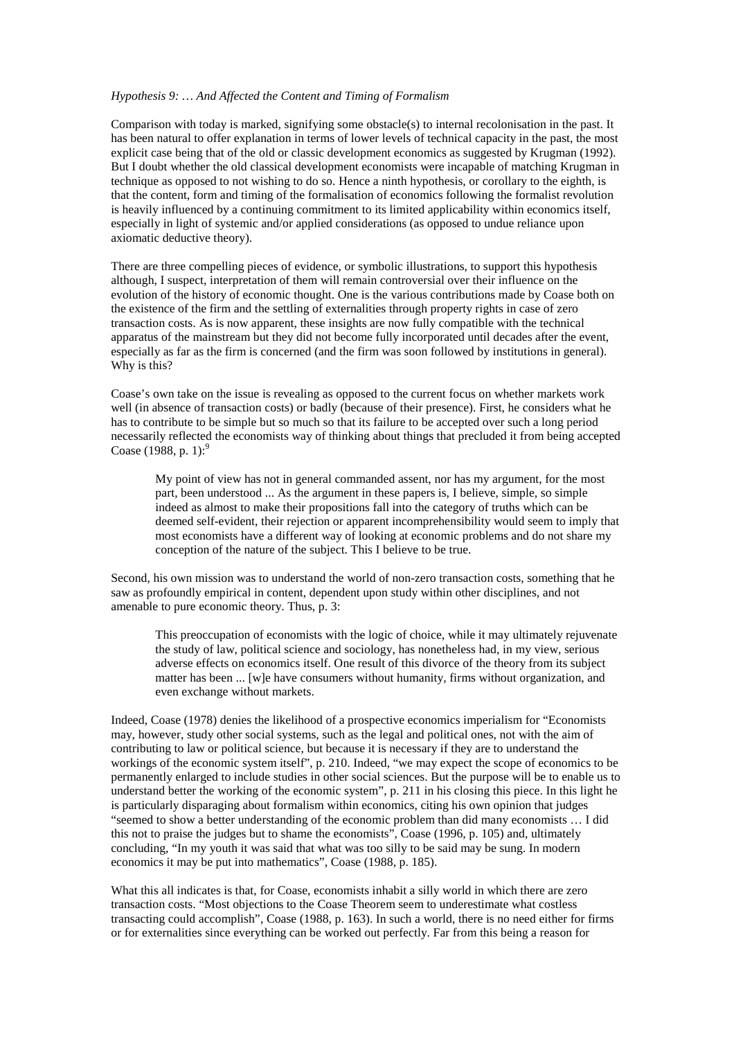#### *Hypothesis 9: … And Affected the Content and Timing of Formalism*

Comparison with today is marked, signifying some obstacle(s) to internal recolonisation in the past. It has been natural to offer explanation in terms of lower levels of technical capacity in the past, the most explicit case being that of the old or classic development economics as suggested by Krugman (1992). But I doubt whether the old classical development economists were incapable of matching Krugman in technique as opposed to not wishing to do so. Hence a ninth hypothesis, or corollary to the eighth, is that the content, form and timing of the formalisation of economics following the formalist revolution is heavily influenced by a continuing commitment to its limited applicability within economics itself, especially in light of systemic and/or applied considerations (as opposed to undue reliance upon axiomatic deductive theory).

There are three compelling pieces of evidence, or symbolic illustrations, to support this hypothesis although, I suspect, interpretation of them will remain controversial over their influence on the evolution of the history of economic thought. One is the various contributions made by Coase both on the existence of the firm and the settling of externalities through property rights in case of zero transaction costs. As is now apparent, these insights are now fully compatible with the technical apparatus of the mainstream but they did not become fully incorporated until decades after the event, especially as far as the firm is concerned (and the firm was soon followed by institutions in general). Why is this?

Coase's own take on the issue is revealing as opposed to the current focus on whether markets work well (in absence of transaction costs) or badly (because of their presence). First, he considers what he has to contribute to be simple but so much so that its failure to be accepted over such a long period necessarily reflected the economists way of thinking about things that precluded it from being accepted Coase (1988, p. 1):<sup>9</sup>

My point of view has not in general commanded assent, nor has my argument, for the most part, been understood ... As the argument in these papers is, I believe, simple, so simple indeed as almost to make their propositions fall into the category of truths which can be deemed self-evident, their rejection or apparent incomprehensibility would seem to imply that most economists have a different way of looking at economic problems and do not share my conception of the nature of the subject. This I believe to be true.

Second, his own mission was to understand the world of non-zero transaction costs, something that he saw as profoundly empirical in content, dependent upon study within other disciplines, and not amenable to pure economic theory. Thus, p. 3:

This preoccupation of economists with the logic of choice, while it may ultimately rejuvenate the study of law, political science and sociology, has nonetheless had, in my view, serious adverse effects on economics itself. One result of this divorce of the theory from its subject matter has been ... [w]e have consumers without humanity, firms without organization, and even exchange without markets.

Indeed, Coase (1978) denies the likelihood of a prospective economics imperialism for "Economists may, however, study other social systems, such as the legal and political ones, not with the aim of contributing to law or political science, but because it is necessary if they are to understand the workings of the economic system itself", p. 210. Indeed, "we may expect the scope of economics to be permanently enlarged to include studies in other social sciences. But the purpose will be to enable us to understand better the working of the economic system", p. 211 in his closing this piece. In this light he is particularly disparaging about formalism within economics, citing his own opinion that judges "seemed to show a better understanding of the economic problem than did many economists … I did this not to praise the judges but to shame the economists", Coase (1996, p. 105) and, ultimately concluding, "In my youth it was said that what was too silly to be said may be sung. In modern economics it may be put into mathematics", Coase (1988, p. 185).

What this all indicates is that, for Coase, economists inhabit a silly world in which there are zero transaction costs. "Most objections to the Coase Theorem seem to underestimate what costless transacting could accomplish", Coase (1988, p. 163). In such a world, there is no need either for firms or for externalities since everything can be worked out perfectly. Far from this being a reason for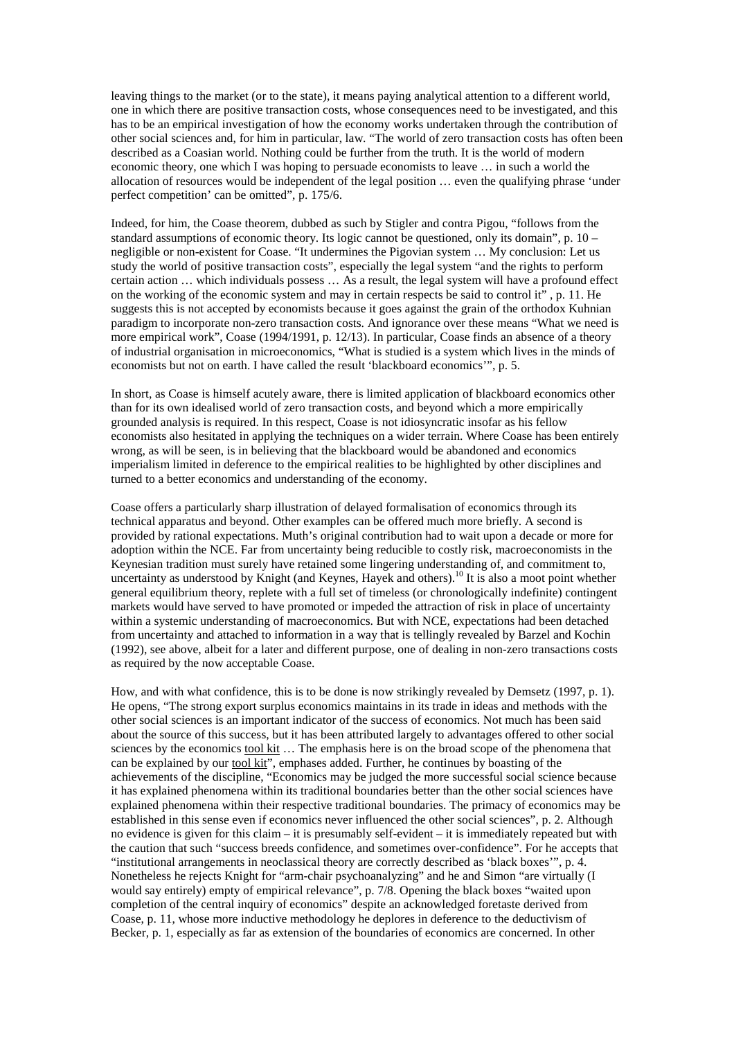leaving things to the market (or to the state), it means paying analytical attention to a different world, one in which there are positive transaction costs, whose consequences need to be investigated, and this has to be an empirical investigation of how the economy works undertaken through the contribution of other social sciences and, for him in particular, law. "The world of zero transaction costs has often been described as a Coasian world. Nothing could be further from the truth. It is the world of modern economic theory, one which I was hoping to persuade economists to leave … in such a world the allocation of resources would be independent of the legal position … even the qualifying phrase 'under perfect competition' can be omitted", p. 175/6.

Indeed, for him, the Coase theorem, dubbed as such by Stigler and contra Pigou, "follows from the standard assumptions of economic theory. Its logic cannot be questioned, only its domain", p.  $10$ negligible or non-existent for Coase. "It undermines the Pigovian system … My conclusion: Let us study the world of positive transaction costs", especially the legal system "and the rights to perform certain action … which individuals possess … As a result, the legal system will have a profound effect on the working of the economic system and may in certain respects be said to control it" , p. 11. He suggests this is not accepted by economists because it goes against the grain of the orthodox Kuhnian paradigm to incorporate non-zero transaction costs. And ignorance over these means "What we need is more empirical work", Coase (1994/1991, p. 12/13). In particular, Coase finds an absence of a theory of industrial organisation in microeconomics, "What is studied is a system which lives in the minds of economists but not on earth. I have called the result 'blackboard economics'", p. 5.

In short, as Coase is himself acutely aware, there is limited application of blackboard economics other than for its own idealised world of zero transaction costs, and beyond which a more empirically grounded analysis is required. In this respect, Coase is not idiosyncratic insofar as his fellow economists also hesitated in applying the techniques on a wider terrain. Where Coase has been entirely wrong, as will be seen, is in believing that the blackboard would be abandoned and economics imperialism limited in deference to the empirical realities to be highlighted by other disciplines and turned to a better economics and understanding of the economy.

Coase offers a particularly sharp illustration of delayed formalisation of economics through its technical apparatus and beyond. Other examples can be offered much more briefly. A second is provided by rational expectations. Muth's original contribution had to wait upon a decade or more for adoption within the NCE. Far from uncertainty being reducible to costly risk, macroeconomists in the Keynesian tradition must surely have retained some lingering understanding of, and commitment to, uncertainty as understood by Knight (and Keynes, Hayek and others).<sup>10</sup> It is also a moot point whether general equilibrium theory, replete with a full set of timeless (or chronologically indefinite) contingent markets would have served to have promoted or impeded the attraction of risk in place of uncertainty within a systemic understanding of macroeconomics. But with NCE, expectations had been detached from uncertainty and attached to information in a way that is tellingly revealed by Barzel and Kochin (1992), see above, albeit for a later and different purpose, one of dealing in non-zero transactions costs as required by the now acceptable Coase.

How, and with what confidence, this is to be done is now strikingly revealed by Demsetz (1997, p. 1). He opens, "The strong export surplus economics maintains in its trade in ideas and methods with the other social sciences is an important indicator of the success of economics. Not much has been said about the source of this success, but it has been attributed largely to advantages offered to other social sciences by the economics tool kit ... The emphasis here is on the broad scope of the phenomena that can be explained by our <u>tool kit"</u>, emphases added. Further, he continues by boasting of the achievements of the discipline, "Economics may be judged the more successful social science because it has explained phenomena within its traditional boundaries better than the other social sciences have explained phenomena within their respective traditional boundaries. The primacy of economics may be established in this sense even if economics never influenced the other social sciences", p. 2. Although no evidence is given for this claim – it is presumably self-evident – it is immediately repeated but with the caution that such "success breeds confidence, and sometimes over-confidence". For he accepts that "institutional arrangements in neoclassical theory are correctly described as 'black boxes'", p. 4. Nonetheless he rejects Knight for "arm-chair psychoanalyzing" and he and Simon "are virtually (I would say entirely) empty of empirical relevance", p. 7/8. Opening the black boxes "waited upon completion of the central inquiry of economics" despite an acknowledged foretaste derived from Coase, p. 11, whose more inductive methodology he deplores in deference to the deductivism of Becker, p. 1, especially as far as extension of the boundaries of economics are concerned. In other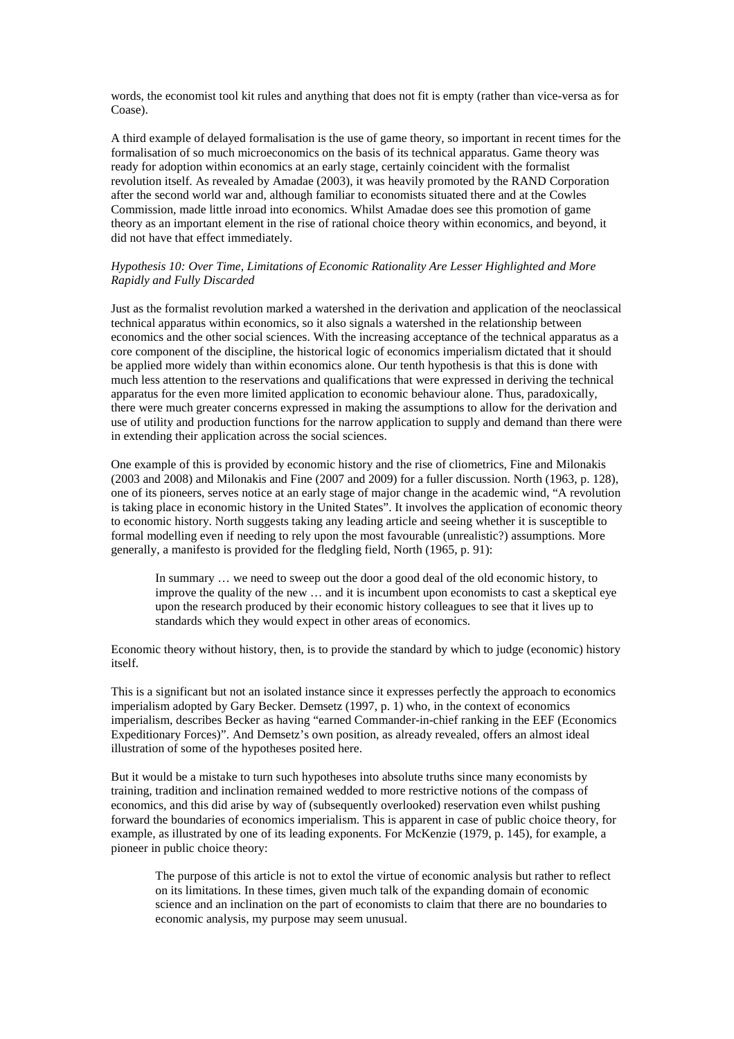words, the economist tool kit rules and anything that does not fit is empty (rather than vice-versa as for Coase).

A third example of delayed formalisation is the use of game theory, so important in recent times for the formalisation of so much microeconomics on the basis of its technical apparatus. Game theory was ready for adoption within economics at an early stage, certainly coincident with the formalist revolution itself. As revealed by Amadae (2003), it was heavily promoted by the RAND Corporation after the second world war and, although familiar to economists situated there and at the Cowles Commission, made little inroad into economics. Whilst Amadae does see this promotion of game theory as an important element in the rise of rational choice theory within economics, and beyond, it did not have that effect immediately.

## *Hypothesis 10: Over Time, Limitations of Economic Rationality Are Lesser Highlighted and More Rapidly and Fully Discarded*

Just as the formalist revolution marked a watershed in the derivation and application of the neoclassical technical apparatus within economics, so it also signals a watershed in the relationship between economics and the other social sciences. With the increasing acceptance of the technical apparatus as a core component of the discipline, the historical logic of economics imperialism dictated that it should be applied more widely than within economics alone. Our tenth hypothesis is that this is done with much less attention to the reservations and qualifications that were expressed in deriving the technical apparatus for the even more limited application to economic behaviour alone. Thus, paradoxically, there were much greater concerns expressed in making the assumptions to allow for the derivation and use of utility and production functions for the narrow application to supply and demand than there were in extending their application across the social sciences.

One example of this is provided by economic history and the rise of cliometrics, Fine and Milonakis (2003 and 2008) and Milonakis and Fine (2007 and 2009) for a fuller discussion. North (1963, p. 128), one of its pioneers, serves notice at an early stage of major change in the academic wind, "A revolution is taking place in economic history in the United States". It involves the application of economic theory to economic history. North suggests taking any leading article and seeing whether it is susceptible to formal modelling even if needing to rely upon the most favourable (unrealistic?) assumptions. More generally, a manifesto is provided for the fledgling field, North (1965, p. 91):

In summary … we need to sweep out the door a good deal of the old economic history, to improve the quality of the new … and it is incumbent upon economists to cast a skeptical eye upon the research produced by their economic history colleagues to see that it lives up to standards which they would expect in other areas of economics.

Economic theory without history, then, is to provide the standard by which to judge (economic) history itself.

This is a significant but not an isolated instance since it expresses perfectly the approach to economics imperialism adopted by Gary Becker. Demsetz (1997, p. 1) who, in the context of economics imperialism, describes Becker as having "earned Commander-in-chief ranking in the EEF (Economics Expeditionary Forces)". And Demsetz's own position, as already revealed, offers an almost ideal illustration of some of the hypotheses posited here.

But it would be a mistake to turn such hypotheses into absolute truths since many economists by training, tradition and inclination remained wedded to more restrictive notions of the compass of economics, and this did arise by way of (subsequently overlooked) reservation even whilst pushing forward the boundaries of economics imperialism. This is apparent in case of public choice theory, for example, as illustrated by one of its leading exponents. For McKenzie (1979, p. 145), for example, a pioneer in public choice theory:

The purpose of this article is not to extol the virtue of economic analysis but rather to reflect on its limitations. In these times, given much talk of the expanding domain of economic science and an inclination on the part of economists to claim that there are no boundaries to economic analysis, my purpose may seem unusual.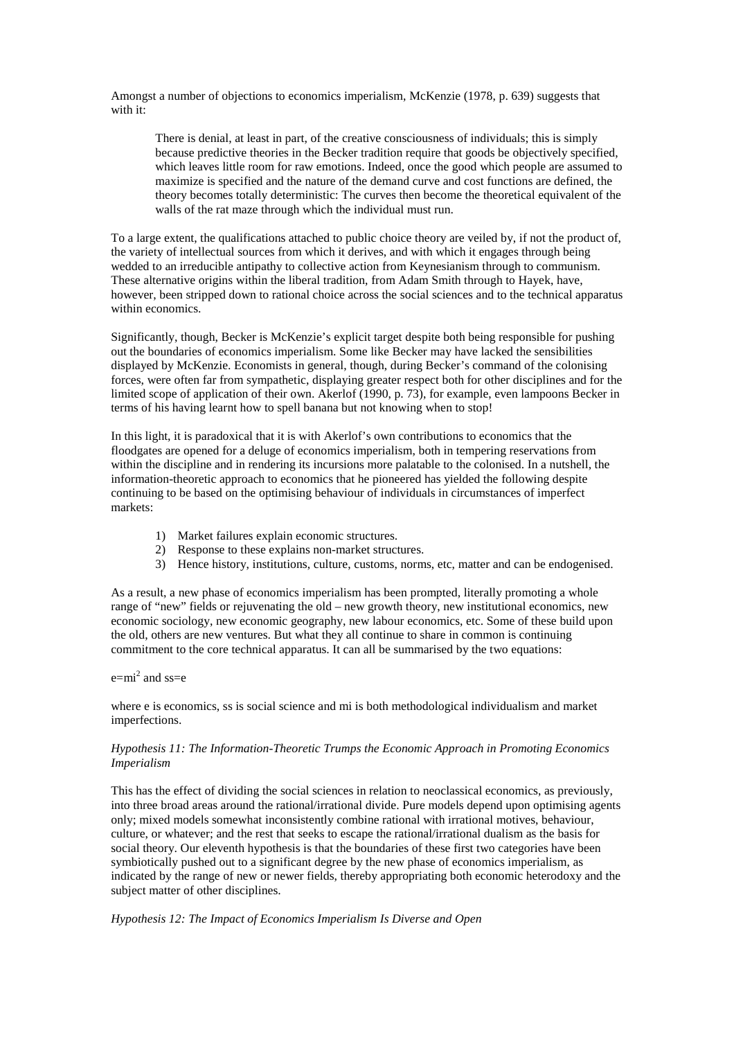Amongst a number of objections to economics imperialism, McKenzie (1978, p. 639) suggests that with it:

There is denial, at least in part, of the creative consciousness of individuals; this is simply because predictive theories in the Becker tradition require that goods be objectively specified, which leaves little room for raw emotions. Indeed, once the good which people are assumed to maximize is specified and the nature of the demand curve and cost functions are defined, the theory becomes totally deterministic: The curves then become the theoretical equivalent of the walls of the rat maze through which the individual must run.

To a large extent, the qualifications attached to public choice theory are veiled by, if not the product of, the variety of intellectual sources from which it derives, and with which it engages through being wedded to an irreducible antipathy to collective action from Keynesianism through to communism. These alternative origins within the liberal tradition, from Adam Smith through to Hayek, have, however, been stripped down to rational choice across the social sciences and to the technical apparatus within economics.

Significantly, though, Becker is McKenzie's explicit target despite both being responsible for pushing out the boundaries of economics imperialism. Some like Becker may have lacked the sensibilities displayed by McKenzie. Economists in general, though, during Becker's command of the colonising forces, were often far from sympathetic, displaying greater respect both for other disciplines and for the limited scope of application of their own. Akerlof (1990, p. 73), for example, even lampoons Becker in terms of his having learnt how to spell banana but not knowing when to stop!

In this light, it is paradoxical that it is with Akerlof's own contributions to economics that the floodgates are opened for a deluge of economics imperialism, both in tempering reservations from within the discipline and in rendering its incursions more palatable to the colonised. In a nutshell, the information-theoretic approach to economics that he pioneered has yielded the following despite continuing to be based on the optimising behaviour of individuals in circumstances of imperfect markets:

- 1) Market failures explain economic structures.
- 2) Response to these explains non-market structures.
- 3) Hence history, institutions, culture, customs, norms, etc, matter and can be endogenised.

As a result, a new phase of economics imperialism has been prompted, literally promoting a whole range of "new" fields or rejuvenating the old – new growth theory, new institutional economics, new economic sociology, new economic geography, new labour economics, etc. Some of these build upon the old, others are new ventures. But what they all continue to share in common is continuing commitment to the core technical apparatus. It can all be summarised by the two equations:

## $e=mi^2$  and ss= $e$

where e is economics, ss is social science and mi is both methodological individualism and market imperfections.

## *Hypothesis 11: The Information-Theoretic Trumps the Economic Approach in Promoting Economics Imperialism*

This has the effect of dividing the social sciences in relation to neoclassical economics, as previously, into three broad areas around the rational/irrational divide. Pure models depend upon optimising agents only; mixed models somewhat inconsistently combine rational with irrational motives, behaviour, culture, or whatever; and the rest that seeks to escape the rational/irrational dualism as the basis for social theory. Our eleventh hypothesis is that the boundaries of these first two categories have been symbiotically pushed out to a significant degree by the new phase of economics imperialism, as indicated by the range of new or newer fields, thereby appropriating both economic heterodoxy and the subject matter of other disciplines.

#### *Hypothesis 12: The Impact of Economics Imperialism Is Diverse and Open*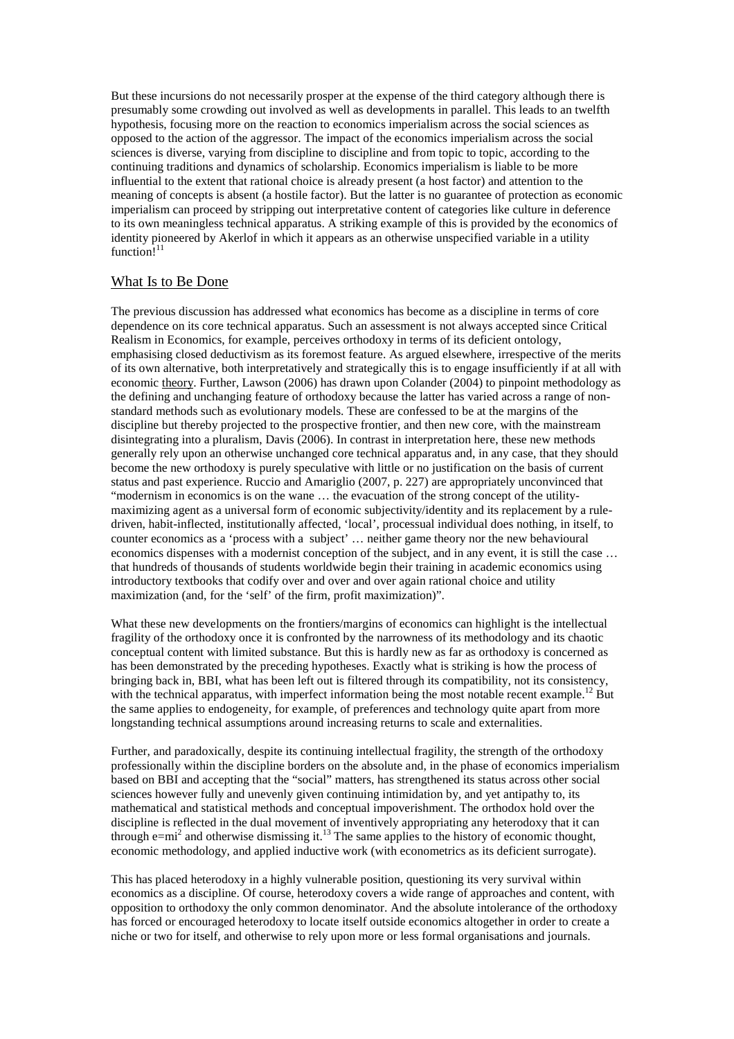But these incursions do not necessarily prosper at the expense of the third category although there is presumably some crowding out involved as well as developments in parallel. This leads to an twelfth hypothesis, focusing more on the reaction to economics imperialism across the social sciences as opposed to the action of the aggressor. The impact of the economics imperialism across the social sciences is diverse, varying from discipline to discipline and from topic to topic, according to the continuing traditions and dynamics of scholarship. Economics imperialism is liable to be more influential to the extent that rational choice is already present (a host factor) and attention to the meaning of concepts is absent (a hostile factor). But the latter is no guarantee of protection as economic imperialism can proceed by stripping out interpretative content of categories like culture in deference to its own meaningless technical apparatus. A striking example of this is provided by the economics of identity pioneered by Akerlof in which it appears as an otherwise unspecified variable in a utility function!<sup>11</sup>

# What Is to Be Done

The previous discussion has addressed what economics has become as a discipline in terms of core dependence on its core technical apparatus. Such an assessment is not always accepted since Critical Realism in Economics, for example, perceives orthodoxy in terms of its deficient ontology, emphasising closed deductivism as its foremost feature. As argued elsewhere, irrespective of the merits of its own alternative, both interpretatively and strategically this is to engage insufficiently if at all with economic theory. Further, Lawson (2006) has drawn upon Colander (2004) to pinpoint methodology as the defining and unchanging feature of orthodoxy because the latter has varied across a range of nonstandard methods such as evolutionary models. These are confessed to be at the margins of the discipline but thereby projected to the prospective frontier, and then new core, with the mainstream disintegrating into a pluralism, Davis (2006). In contrast in interpretation here, these new methods generally rely upon an otherwise unchanged core technical apparatus and, in any case, that they should become the new orthodoxy is purely speculative with little or no justification on the basis of current status and past experience. Ruccio and Amariglio (2007, p. 227) are appropriately unconvinced that "modernism in economics is on the wane … the evacuation of the strong concept of the utilitymaximizing agent as a universal form of economic subjectivity/identity and its replacement by a ruledriven, habit-inflected, institutionally affected, 'local', processual individual does nothing, in itself, to counter economics as a 'process with a subject' … neither game theory nor the new behavioural economics dispenses with a modernist conception of the subject, and in any event, it is still the case … that hundreds of thousands of students worldwide begin their training in academic economics using introductory textbooks that codify over and over and over again rational choice and utility maximization (and, for the 'self' of the firm, profit maximization)".

What these new developments on the frontiers/margins of economics can highlight is the intellectual fragility of the orthodoxy once it is confronted by the narrowness of its methodology and its chaotic conceptual content with limited substance. But this is hardly new as far as orthodoxy is concerned as has been demonstrated by the preceding hypotheses. Exactly what is striking is how the process of bringing back in, BBI, what has been left out is filtered through its compatibility, not its consistency, with the technical apparatus, with imperfect information being the most notable recent example.<sup>12</sup> But the same applies to endogeneity, for example, of preferences and technology quite apart from more longstanding technical assumptions around increasing returns to scale and externalities.

Further, and paradoxically, despite its continuing intellectual fragility, the strength of the orthodoxy professionally within the discipline borders on the absolute and, in the phase of economics imperialism based on BBI and accepting that the "social" matters, has strengthened its status across other social sciences however fully and unevenly given continuing intimidation by, and yet antipathy to, its mathematical and statistical methods and conceptual impoverishment. The orthodox hold over the discipline is reflected in the dual movement of inventively appropriating any heterodoxy that it can through  $e=mi^2$  and otherwise dismissing it.<sup>13</sup> The same applies to the history of economic thought, economic methodology, and applied inductive work (with econometrics as its deficient surrogate).

This has placed heterodoxy in a highly vulnerable position, questioning its very survival within economics as a discipline. Of course, heterodoxy covers a wide range of approaches and content, with opposition to orthodoxy the only common denominator. And the absolute intolerance of the orthodoxy has forced or encouraged heterodoxy to locate itself outside economics altogether in order to create a niche or two for itself, and otherwise to rely upon more or less formal organisations and journals.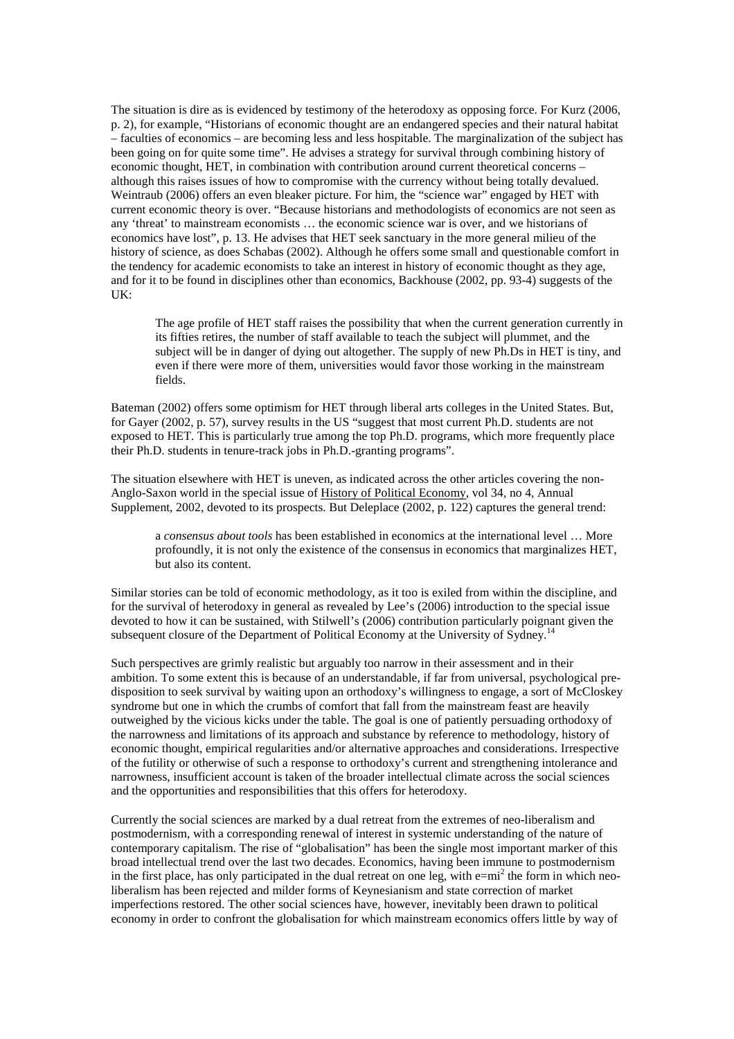The situation is dire as is evidenced by testimony of the heterodoxy as opposing force. For Kurz (2006, p. 2), for example, "Historians of economic thought are an endangered species and their natural habitat – faculties of economics – are becoming less and less hospitable. The marginalization of the subject has been going on for quite some time". He advises a strategy for survival through combining history of economic thought, HET, in combination with contribution around current theoretical concerns – although this raises issues of how to compromise with the currency without being totally devalued. Weintraub (2006) offers an even bleaker picture. For him, the "science war" engaged by HET with current economic theory is over. "Because historians and methodologists of economics are not seen as any 'threat' to mainstream economists … the economic science war is over, and we historians of economics have lost", p. 13. He advises that HET seek sanctuary in the more general milieu of the history of science, as does Schabas (2002). Although he offers some small and questionable comfort in the tendency for academic economists to take an interest in history of economic thought as they age, and for it to be found in disciplines other than economics, Backhouse (2002, pp. 93-4) suggests of the UK:

The age profile of HET staff raises the possibility that when the current generation currently in its fifties retires, the number of staff available to teach the subject will plummet, and the subject will be in danger of dying out altogether. The supply of new Ph.Ds in HET is tiny, and even if there were more of them, universities would favor those working in the mainstream fields.

Bateman (2002) offers some optimism for HET through liberal arts colleges in the United States. But, for Gayer (2002, p. 57), survey results in the US "suggest that most current Ph.D. students are not exposed to HET. This is particularly true among the top Ph.D. programs, which more frequently place their Ph.D. students in tenure-track jobs in Ph.D.-granting programs".

The situation elsewhere with HET is uneven, as indicated across the other articles covering the non-Anglo-Saxon world in the special issue of History of Political Economy, vol 34, no 4, Annual Supplement, 2002, devoted to its prospects. But Deleplace (2002, p. 122) captures the general trend:

a *consensus about tools* has been established in economics at the international level … More profoundly, it is not only the existence of the consensus in economics that marginalizes HET, but also its content.

Similar stories can be told of economic methodology, as it too is exiled from within the discipline, and for the survival of heterodoxy in general as revealed by Lee's (2006) introduction to the special issue devoted to how it can be sustained, with Stilwell's (2006) contribution particularly poignant given the subsequent closure of the Department of Political Economy at the University of Sydney.<sup>14</sup>

Such perspectives are grimly realistic but arguably too narrow in their assessment and in their ambition. To some extent this is because of an understandable, if far from universal, psychological predisposition to seek survival by waiting upon an orthodoxy's willingness to engage, a sort of McCloskey syndrome but one in which the crumbs of comfort that fall from the mainstream feast are heavily outweighed by the vicious kicks under the table. The goal is one of patiently persuading orthodoxy of the narrowness and limitations of its approach and substance by reference to methodology, history of economic thought, empirical regularities and/or alternative approaches and considerations. Irrespective of the futility or otherwise of such a response to orthodoxy's current and strengthening intolerance and narrowness, insufficient account is taken of the broader intellectual climate across the social sciences and the opportunities and responsibilities that this offers for heterodoxy.

Currently the social sciences are marked by a dual retreat from the extremes of neo-liberalism and postmodernism, with a corresponding renewal of interest in systemic understanding of the nature of contemporary capitalism. The rise of "globalisation" has been the single most important marker of this broad intellectual trend over the last two decades. Economics, having been immune to postmodernism in the first place, has only participated in the dual retreat on one leg, with  $e=mi^2$  the form in which neoliberalism has been rejected and milder forms of Keynesianism and state correction of market imperfections restored. The other social sciences have, however, inevitably been drawn to political economy in order to confront the globalisation for which mainstream economics offers little by way of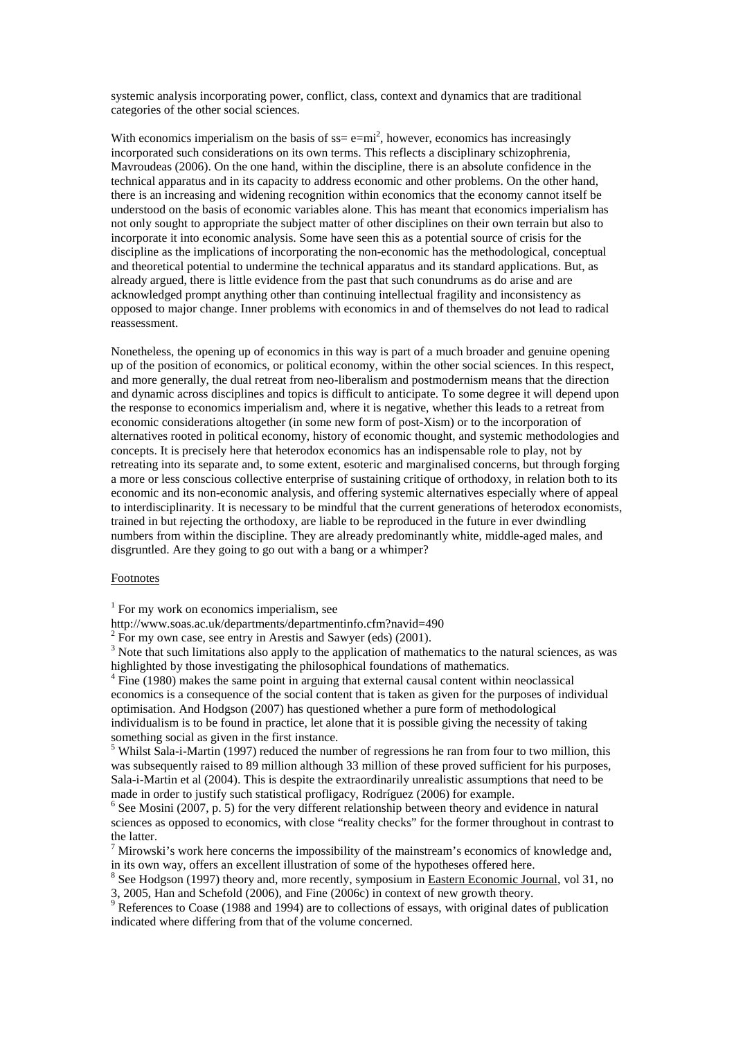systemic analysis incorporating power, conflict, class, context and dynamics that are traditional categories of the other social sciences.

With economics imperialism on the basis of  $\text{ss}=e=\text{mi}^2$ , however, economics has increasingly incorporated such considerations on its own terms. This reflects a disciplinary schizophrenia, Mavroudeas (2006). On the one hand, within the discipline, there is an absolute confidence in the technical apparatus and in its capacity to address economic and other problems. On the other hand, there is an increasing and widening recognition within economics that the economy cannot itself be understood on the basis of economic variables alone. This has meant that economics imperialism has not only sought to appropriate the subject matter of other disciplines on their own terrain but also to incorporate it into economic analysis. Some have seen this as a potential source of crisis for the discipline as the implications of incorporating the non-economic has the methodological, conceptual and theoretical potential to undermine the technical apparatus and its standard applications. But, as already argued, there is little evidence from the past that such conundrums as do arise and are acknowledged prompt anything other than continuing intellectual fragility and inconsistency as opposed to major change. Inner problems with economics in and of themselves do not lead to radical reassessment.

Nonetheless, the opening up of economics in this way is part of a much broader and genuine opening up of the position of economics, or political economy, within the other social sciences. In this respect, and more generally, the dual retreat from neo-liberalism and postmodernism means that the direction and dynamic across disciplines and topics is difficult to anticipate. To some degree it will depend upon the response to economics imperialism and, where it is negative, whether this leads to a retreat from economic considerations altogether (in some new form of post-Xism) or to the incorporation of alternatives rooted in political economy, history of economic thought, and systemic methodologies and concepts. It is precisely here that heterodox economics has an indispensable role to play, not by retreating into its separate and, to some extent, esoteric and marginalised concerns, but through forging a more or less conscious collective enterprise of sustaining critique of orthodoxy, in relation both to its economic and its non-economic analysis, and offering systemic alternatives especially where of appeal to interdisciplinarity. It is necessary to be mindful that the current generations of heterodox economists, trained in but rejecting the orthodoxy, are liable to be reproduced in the future in ever dwindling numbers from within the discipline. They are already predominantly white, middle-aged males, and disgruntled. Are they going to go out with a bang or a whimper?

#### Footnotes

<sup>1</sup> For my work on economics imperialism, see

http://www.soas.ac.uk/departments/departmentinfo.cfm?navid=490

 $2^2$  For my own case, see entry in Arestis and Sawyer (eds) (2001).

 $3$  Note that such limitations also apply to the application of mathematics to the natural sciences, as was highlighted by those investigating the philosophical foundations of mathematics.

<sup>4</sup> Fine (1980) makes the same point in arguing that external causal content within neoclassical economics is a consequence of the social content that is taken as given for the purposes of individual optimisation. And Hodgson (2007) has questioned whether a pure form of methodological individualism is to be found in practice, let alone that it is possible giving the necessity of taking something social as given in the first instance.

 $<sup>5</sup>$  Whilst Sala-i-Martin (1997) reduced the number of regressions he ran from four to two million, this</sup> was subsequently raised to 89 million although 33 million of these proved sufficient for his purposes. Sala-i-Martin et al (2004). This is despite the extraordinarily unrealistic assumptions that need to be made in order to justify such statistical profligacy, Rodríguez (2006) for example.

 $6$  See Mosini (2007, p. 5) for the very different relationship between theory and evidence in natural sciences as opposed to economics, with close "reality checks" for the former throughout in contrast to the latter.

 $<sup>7</sup>$  Mirowski's work here concerns the impossibility of the mainstream's economics of knowledge and,</sup> in its own way, offers an excellent illustration of some of the hypotheses offered here.

<sup>8</sup> See Hodgson (1997) theory and, more recently, symposium in **Eastern Economic Journal**, vol 31, no

3, 2005, Han and Schefold (2006), and Fine (2006c) in context of new growth theory.<br><sup>9</sup> References to Coase (1988 and 1994) are to collections of essays, with original dates of publication indicated where differing from that of the volume concerned.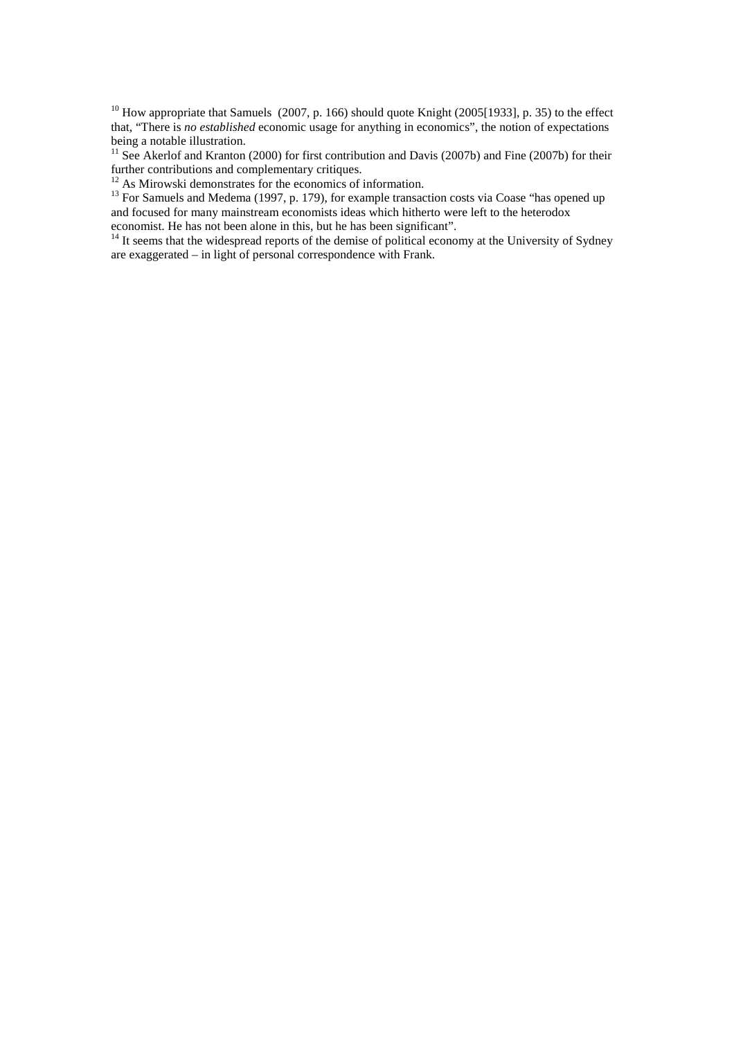<sup>10</sup> How appropriate that Samuels (2007, p. 166) should quote Knight (2005[1933], p. 35) to the effect that, "There is *no established* economic usage for anything in economics", the notion of expectations being a notable illustration.

<sup>11</sup> See Akerlof and Kranton (2000) for first contribution and Davis (2007b) and Fine (2007b) for their further contributions and complementary critiques.

 $12$  As Mirowski demonstrates for the economics of information.

<sup>13</sup> For Samuels and Medema (1997, p. 179), for example transaction costs via Coase "has opened up and focused for many mainstream economists ideas which hitherto were left to the heterodox economist. He has not been alone in this, but he has been significant".

 $14$  It seems that the widespread reports of the demise of political economy at the University of Sydney are exaggerated – in light of personal correspondence with Frank.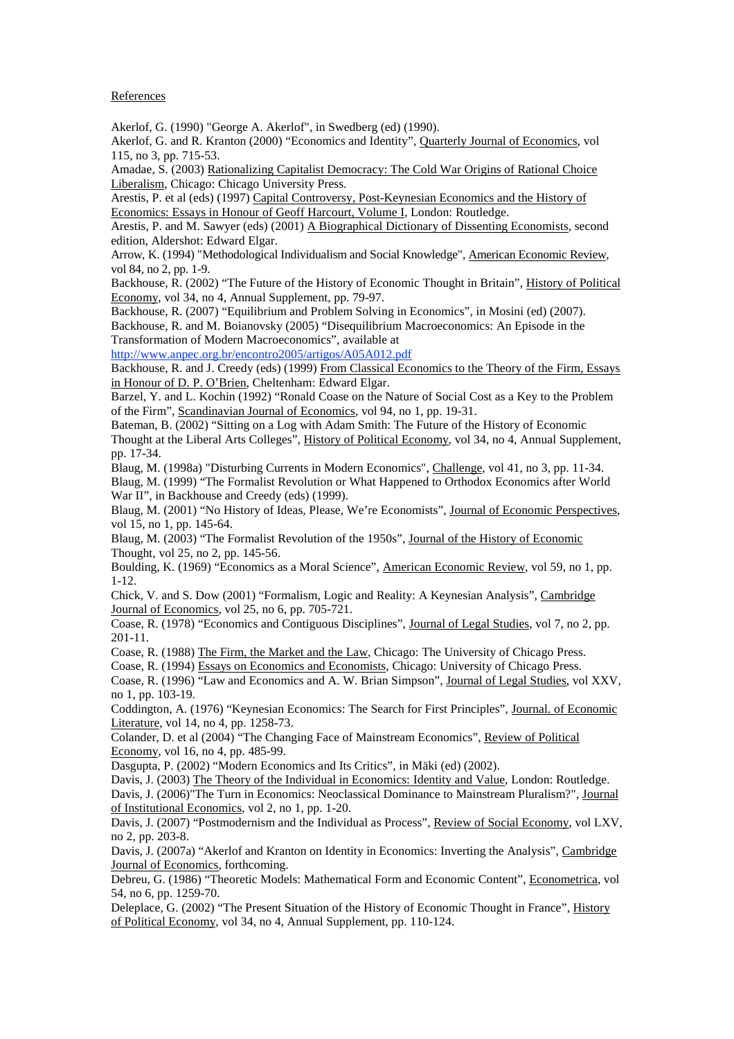**References** 

Akerlof, G. (1990) "George A. Akerlof", in Swedberg (ed) (1990).

Akerlof, G. and R. Kranton (2000) "Economics and Identity", Quarterly Journal of Economics, vol 115, no 3, pp. 715-53.

Amadae, S. (2003) Rationalizing Capitalist Democracy: The Cold War Origins of Rational Choice Liberalism, Chicago: Chicago University Press.

Arestis, P. et al (eds) (1997) Capital Controversy, Post-Keynesian Economics and the History of Economics: Essays in Honour of Geoff Harcourt, Volume I, London: Routledge.

Arestis, P. and M. Sawyer (eds) (2001) A Biographical Dictionary of Dissenting Economists, second edition, Aldershot: Edward Elgar.

Arrow, K. (1994) "Methodological Individualism and Social Knowledge", American Economic Review, vol 84, no 2, pp. 1-9.

Backhouse, R. (2002) "The Future of the History of Economic Thought in Britain", History of Political Economy, vol 34, no 4, Annual Supplement, pp. 79-97.

Backhouse, R. (2007) "Equilibrium and Problem Solving in Economics", in Mosini (ed) (2007). Backhouse, R. and M. Boianovsky (2005) "Disequilibrium Macroeconomics: An Episode in the Transformation of Modern Macroeconomics", available at

http://www.anpec.org.br/encontro2005/artigos/A05A012.pdf

Backhouse, R. and J. Creedy (eds) (1999) From Classical Economics to the Theory of the Firm, Essays in Honour of D. P. O'Brien, Cheltenham: Edward Elgar.

Barzel, Y. and L. Kochin (1992) "Ronald Coase on the Nature of Social Cost as a Key to the Problem of the Firm", Scandinavian Journal of Economics, vol 94, no 1, pp. 19-31.

Bateman, B. (2002) "Sitting on a Log with Adam Smith: The Future of the History of Economic Thought at the Liberal Arts Colleges", History of Political Economy, vol 34, no 4, Annual Supplement, pp. 17-34.

Blaug, M. (1998a) "Disturbing Currents in Modern Economics", Challenge, vol 41, no 3, pp. 11-34. Blaug, M. (1999) "The Formalist Revolution or What Happened to Orthodox Economics after World War II", in Backhouse and Creedy (eds) (1999).

Blaug, M. (2001) "No History of Ideas, Please, We're Economists", Journal of Economic Perspectives, vol 15, no 1, pp. 145-64.

Blaug, M. (2003) "The Formalist Revolution of the 1950s", Journal of the History of Economic Thought, vol 25, no 2, pp. 145-56.

Boulding, K. (1969) "Economics as a Moral Science", American Economic Review, vol 59, no 1, pp. 1-12.

Chick, V. and S. Dow (2001) "Formalism, Logic and Reality: A Keynesian Analysis", Cambridge Journal of Economics, vol 25, no 6, pp. 705-721.

Coase, R. (1978) "Economics and Contiguous Disciplines", Journal of Legal Studies, vol 7, no 2, pp. 201-11.

Coase, R. (1988) The Firm, the Market and the Law, Chicago: The University of Chicago Press.

Coase, R. (1994) Essays on Economics and Economists, Chicago: University of Chicago Press.

Coase, R. (1996) "Law and Economics and A. W. Brian Simpson", Journal of Legal Studies, vol XXV, no 1, pp. 103-19.

Coddington, A. (1976) "Keynesian Economics: The Search for First Principles", Journal. of Economic Literature, vol 14, no 4, pp. 1258-73.

Colander, D. et al (2004) "The Changing Face of Mainstream Economics", Review of Political Economy, vol 16, no 4, pp. 485-99.

Dasgupta, P. (2002) "Modern Economics and Its Critics", in Mäki (ed) (2002).

Davis, J. (2003) The Theory of the Individual in Economics: Identity and Value, London: Routledge. Davis, J. (2006)"The Turn in Economics: Neoclassical Dominance to Mainstream Pluralism?", Journal of Institutional Economics, vol 2, no 1, pp. 1-20.

Davis, J. (2007) "Postmodernism and the Individual as Process", Review of Social Economy, vol LXV, no 2, pp. 203-8.

Davis, J. (2007a) "Akerlof and Kranton on Identity in Economics: Inverting the Analysis", Cambridge Journal of Economics, forthcoming.

Debreu, G. (1986) "Theoretic Models: Mathematical Form and Economic Content", Econometrica, vol 54, no 6, pp. 1259-70.

Deleplace, G. (2002) "The Present Situation of the History of Economic Thought in France", History of Political Economy, vol 34, no 4, Annual Supplement, pp. 110-124.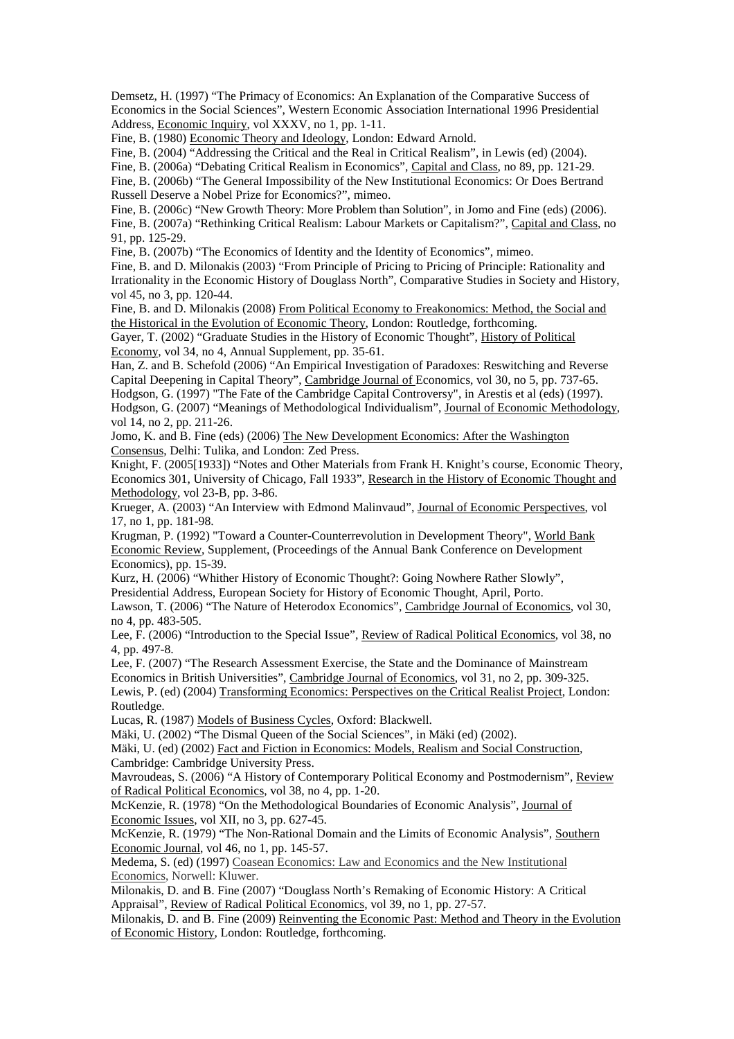Demsetz, H. (1997) "The Primacy of Economics: An Explanation of the Comparative Success of Economics in the Social Sciences", Western Economic Association International 1996 Presidential Address, Economic Inquiry, vol XXXV, no 1, pp. 1-11.

Fine, B. (1980) Economic Theory and Ideology, London: Edward Arnold.

Fine, B. (2004) "Addressing the Critical and the Real in Critical Realism", in Lewis (ed) (2004).

Fine, B. (2006a) "Debating Critical Realism in Economics", Capital and Class, no 89, pp. 121-29.

Fine, B. (2006b) "The General Impossibility of the New Institutional Economics: Or Does Bertrand Russell Deserve a Nobel Prize for Economics?", mimeo.

Fine, B. (2006c) "New Growth Theory: More Problem than Solution", in Jomo and Fine (eds) (2006). Fine, B. (2007a) "Rethinking Critical Realism: Labour Markets or Capitalism?", Capital and Class, no 91, pp. 125-29.

Fine, B. (2007b) "The Economics of Identity and the Identity of Economics", mimeo.

Fine, B. and D. Milonakis (2003) "From Principle of Pricing to Pricing of Principle: Rationality and Irrationality in the Economic History of Douglass North", Comparative Studies in Society and History, vol 45, no 3, pp. 120-44.

Fine, B. and D. Milonakis (2008) From Political Economy to Freakonomics: Method, the Social and the Historical in the Evolution of Economic Theory, London: Routledge, forthcoming.

Gayer, T. (2002) "Graduate Studies in the History of Economic Thought", History of Political Economy, vol 34, no 4, Annual Supplement, pp. 35-61.

Han, Z. and B. Schefold (2006) "An Empirical Investigation of Paradoxes: Reswitching and Reverse Capital Deepening in Capital Theory", Cambridge Journal of Economics, vol 30, no 5, pp. 737-65.

Hodgson, G. (1997) "The Fate of the Cambridge Capital Controversy", in Arestis et al (eds) (1997). Hodgson, G. (2007) "Meanings of Methodological Individualism", Journal of Economic Methodology, vol 14, no 2, pp. 211-26.

Jomo, K. and B. Fine (eds) (2006) The New Development Economics: After the Washington Consensus, Delhi: Tulika, and London: Zed Press.

Knight, F. (2005[1933]) "Notes and Other Materials from Frank H. Knight's course, Economic Theory, Economics 301, University of Chicago, Fall 1933", Research in the History of Economic Thought and Methodology, vol 23-B, pp. 3-86.

Krueger, A. (2003) "An Interview with Edmond Malinvaud", Journal of Economic Perspectives, vol 17, no 1, pp. 181-98.

Krugman, P. (1992) "Toward a Counter-Counterrevolution in Development Theory", World Bank Economic Review, Supplement, (Proceedings of the Annual Bank Conference on Development Economics), pp. 15-39.

Kurz, H. (2006) "Whither History of Economic Thought?: Going Nowhere Rather Slowly", Presidential Address, European Society for History of Economic Thought, April, Porto.

Lawson, T. (2006) "The Nature of Heterodox Economics", Cambridge Journal of Economics, vol 30, no 4, pp. 483-505.

Lee, F. (2006) "Introduction to the Special Issue", Review of Radical Political Economics, vol 38, no 4, pp. 497-8.

Lee, F. (2007) "The Research Assessment Exercise, the State and the Dominance of Mainstream Economics in British Universities", Cambridge Journal of Economics, vol 31, no 2, pp. 309-325. Lewis, P. (ed) (2004) Transforming Economics: Perspectives on the Critical Realist Project, London: Routledge.

Lucas, R. (1987) Models of Business Cycles, Oxford: Blackwell.

Mäki, U. (2002) "The Dismal Queen of the Social Sciences", in Mäki (ed) (2002).

Mäki, U. (ed) (2002) Fact and Fiction in Economics: Models, Realism and Social Construction, Cambridge: Cambridge University Press.

Mavroudeas, S. (2006) "A History of Contemporary Political Economy and Postmodernism", Review of Radical Political Economics, vol 38, no 4, pp. 1-20.

McKenzie, R. (1978) "On the Methodological Boundaries of Economic Analysis", Journal of Economic Issues, vol XII, no 3, pp. 627-45.

McKenzie, R. (1979) "The Non-Rational Domain and the Limits of Economic Analysis", Southern Economic Journal, vol 46, no 1, pp. 145-57.

Medema, S. (ed) (1997) Coasean Economics: Law and Economics and the New Institutional Economics, Norwell: Kluwer.

Milonakis, D. and B. Fine (2007) "Douglass North's Remaking of Economic History: A Critical Appraisal", Review of Radical Political Economics, vol 39, no 1, pp. 27-57.

Milonakis, D. and B. Fine (2009) Reinventing the Economic Past: Method and Theory in the Evolution of Economic History, London: Routledge, forthcoming.